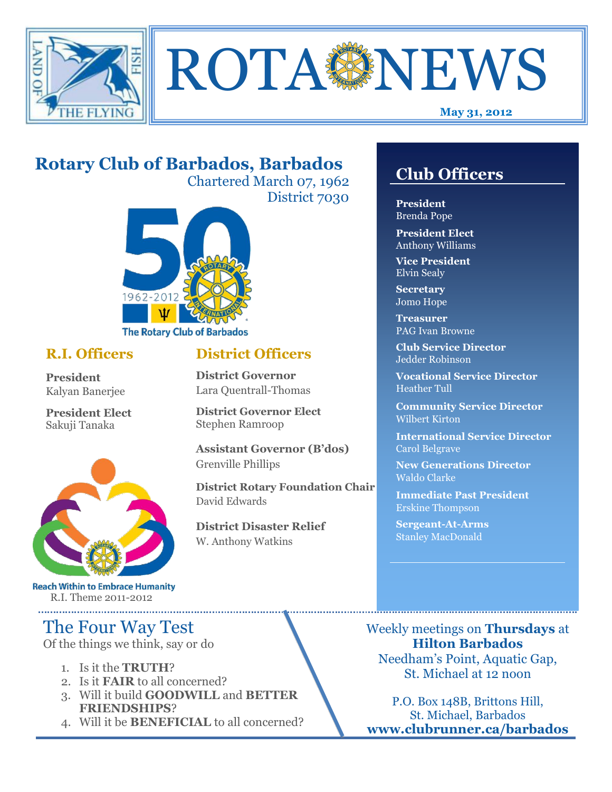



#### **May 31, 2012**

## **Rotary Club of Barbados, Barbados**

Chartered March 07, 1962 District 7030

**District Officers**

**District Governor Elect**

**District Disaster Relief**

W. Anthony Watkins

**Assistant Governor (B'dos)**

**District Rotary Foundation Chair**

**District Governor** Lara Quentrall-Thomas

Stephen Ramroop

Grenville Phillips

David Edwards



### **R.I. Officers**

**President**  Kalyan Banerjee

**President Elect** Sakuji Tanaka



**Reach Within to Embrace Humanity** R.I. Theme 2011-2012

## The Four Way Test

Of the things we think, say or do

- 1. Is it the **TRUTH**?
- 2. Is it **FAIR** to all concerned?
- 3. Will it build **GOODWILL** and **BETTER FRIENDSHIPS**?
- 4. Will it be **BENEFICIAL** to all concerned?

## **Club Officers**

**Club Officers** 

**President** Brenda Pope

**President Elect** Anthony Williams

**Vice President** Elvin Sealy

**Secretary** Jomo Hope

**Treasurer** PAG Ivan Browne

**Club Service Director** Jedder Robinson

**Vocational Service Director** Heather Tull

**Community Service Director** Wilbert Kirton

**International Service Director** Carol Belgrave

**New Generations Director** Waldo Clarke

**Immediate Past President** Erskine Thompson

**Sergeant-At-Arms** Stanley MacDonald

Weekly meetings on **Thursdays** at **Hilton Barbados** Needham's Point, Aquatic Gap, St. Michael at 12 noon

P.O. Box 148B, Brittons Hill, St. Michael, Barbados **www.clubrunner.ca/barbados**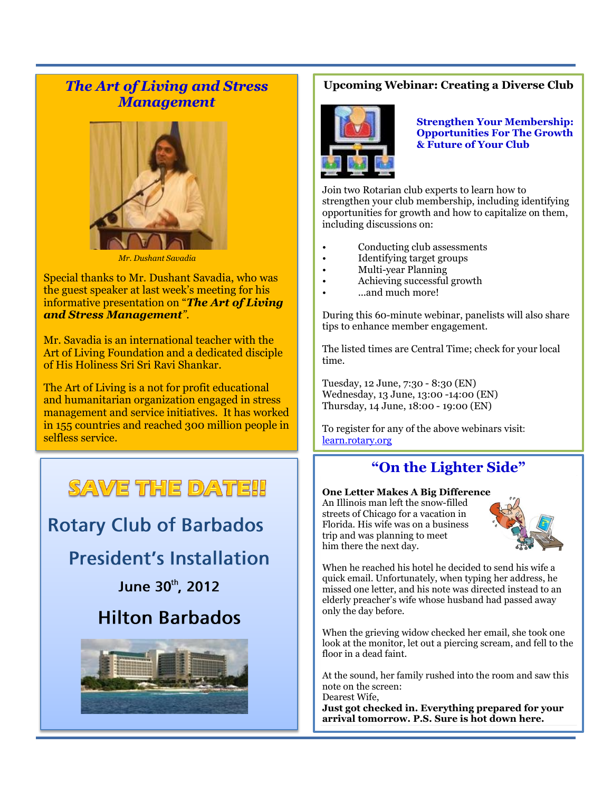### *The Art of Living and Stress Management*



 *Mr. Dushant Savadia*

Special thanks to Mr. Dushant Savadia, who was the guest speaker at last week's meeting for his informative presentation on "*The Art of Living and Stress Management".*

Mr. Savadia is an international teacher with the Art of Living Foundation and a dedicated disciple of His Holiness Sri Sri Ravi Shankar.

The Art of Living is a not for profit educational and humanitarian organization engaged in stress management and service initiatives. It has worked in 155 countries and reached 300 million people in selfless service.

# SAVE THE DATE!!

## **Rotary Club of Barbados**

## **President's Installation**

June 30th, 2012

## **Hilton Barbados**



#### **Upcoming Webinar: Creating a Diverse Club**



**Strengthen Your Membership: Opportunities For The Growth & Future of Your Club** 

Join two Rotarian club experts to learn how to strengthen your club membership, including identifying opportunities for growth and how to capitalize on them, including discussions on:

- Conducting club assessments
- Identifying target groups
- Multi-year Planning
- Achieving successful growth
- ...and much more!

During this 60-minute webinar, panelists will also share tips to enhance member engagement.

The listed times are Central Time; check for your local time.

Tuesday, 12 June, 7:30 - 8:30 (EN) Wednesday, 13 June, 13:00 -14:00 (EN) Thursday, 14 June, 18:00 - 19:00 (EN)

To register for any of the above webinars visit: [learn.rotary.org](http://echo4.bluehornet.com/ct/16083763:19046586443:m:1:995154605:1FDCDF84C03450D152B793E33BF2C9B5:r)

### **"On the Lighter Side"**

#### **One Letter Makes A Big Difference**

An Illinois man left the snow-filled streets of Chicago for a vacation in Florida. His wife was on a business trip and was planning to meet him there the next day.



When he reached his hotel he decided to send his wife a quick email. Unfortunately, when typing her address, he missed one letter, and his note was directed instead to an elderly preacher's wife whose husband had passed away only the day before.

When the grieving widow checked her email, she took one look at the monitor, let out a piercing scream, and fell to the floor in a dead faint.

At the sound, her family rushed into the room and saw this note on the screen:

Dearest Wife, **Just got checked in. Everything prepared for your arrival tomorrow. P.S. Sure is hot down here.**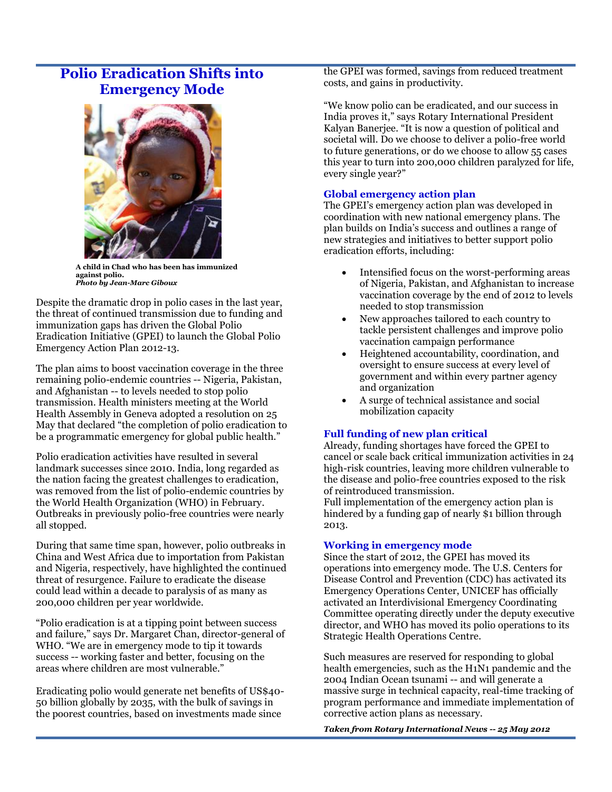### **Polio Eradication Shifts into Emergency Mode**



**A child in Chad who has been has immunized against polio.** *Photo by Jean-Marc Giboux*

Despite the dramatic drop in polio cases in the last year, the threat of continued transmission due to funding and immunization gaps has driven the Global Polio Eradication Initiative (GPEI) to launch the [Global Polio](http://www.polioeradication.org/Portals/0/Document/Resources/StrategyWork/EAP_201205.pdf) [Emergency Action Plan 2012-13.](http://www.polioeradication.org/Portals/0/Document/Resources/StrategyWork/EAP_201205.pdf)

The plan aims to boost vaccination coverage in the three remaining polio-endemic countries -- Nigeria, Pakistan, and Afghanistan -- to levels needed to stop polio transmission. Health ministers meeting at the World Health Assembly in Geneva adopted a resolution on 25 May that declared "the completion of polio eradication to be a programmatic emergency for global public health."

Polio eradication activities have resulted in several landmark successes since 2010. India, long regarded as the nation facing the greatest challenges to eradication, was removed from the list of polio-endemic countries by the World Health Organization (WHO) in February. Outbreaks in previously polio-free countries were nearly all stopped.

During that same time span, however, polio outbreaks in China and West Africa due to importation from Pakistan and Nigeria, respectively, have highlighted the continued threat of resurgence. Failure to eradicate the disease could lead within a decade to paralysis of as many as 200,000 children per year worldwide.

"Polio eradication is at a tipping point between success and failure," says Dr. Margaret Chan, director-general of WHO. "We are in emergency mode to tip it towards success -- working faster and better, focusing on the areas where children are most vulnerable."

Eradicating polio would generate net benefits of US\$40- 50 billion globally by 2035, with the bulk of savings in the poorest countries, based on investments made since

th[e GPEI](http://www.polioeradication.org/) was formed, savings from reduced treatment costs, and gains in productivity.

"We know polio can be eradicated, and our success in India proves it," says Rotary International President Kalyan Banerjee. "It is now a question of political and societal will. Do we choose to deliver a polio-free world to future generations, or do we choose to allow 55 cases this year to turn into 200,000 children paralyzed for life, every single year?"

#### **Global emergency action plan**

The GPEI's emergency action plan was developed in coordination with new national emergency plans. The plan builds on India's success and outlines a range of new strategies and initiatives to better support polio eradication efforts, including:

- Intensified focus on the worst-performing areas of Nigeria, Pakistan, and Afghanistan to increase vaccination coverage by the end of 2012 to levels needed to stop transmission
- New approaches tailored to each country to tackle persistent challenges and improve polio vaccination campaign performance
- Heightened accountability, coordination, and oversight to ensure success at every level of government and within every partner agency and organization
- A surge of technical assistance and social mobilization capacity

#### **Full funding of new plan critical**

Already, funding shortages have forced the GPEI to cancel or scale back critical immunization activities in 24 high-risk countries, leaving more children vulnerable to the disease and polio-free countries exposed to the risk of reintroduced transmission.

Full implementation of the emergency action plan is hindered by [a funding gap](http://www.polioeradication.org/Financing.aspx) of nearly \$1 billion through 2013.

#### **Working in emergency mode**

Since the start of 2012, the GPEI has moved its operations into emergency mode. The U.S. Centers for Disease Control and Prevention (CDC) has activated its Emergency Operations Center, UNICEF has officially activated an Interdivisional Emergency Coordinating Committee operating directly under the deputy executive director, and WHO has moved its polio operations to its Strategic Health Operations Centre.

Such measures are reserved for responding to global health emergencies, such as the H1N1 pandemic and the 2004 Indian Ocean tsunami -- and will generate a massive surge in technical capacity, real-time tracking of program performance and immediate implementation of corrective action plans as necessary.

*Taken from Rotary International News -- 25 May 2012*